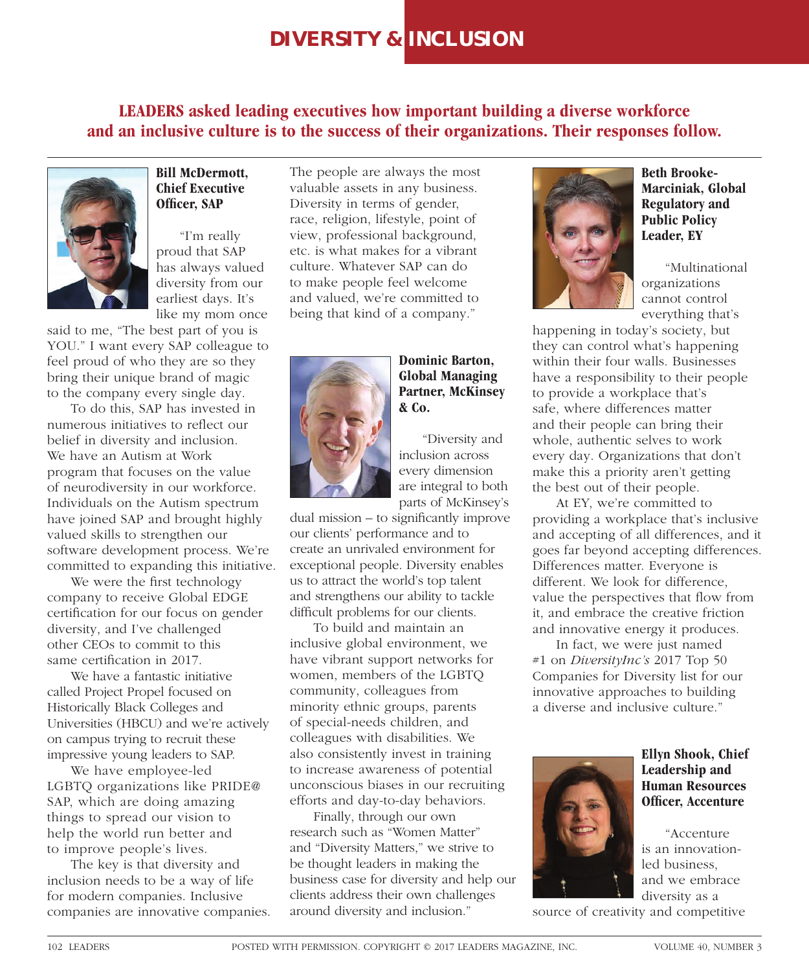## **DIVERSITY & INCLUSION**

**LEADERS asked leading executives how important building a diverse workforce and an inclusive culture is to the success of their organizations. Their responses follow.**



**Bill McDermott, Chief Executive Officer, SAP** 

"I'm really proud that SAP has always valued diversity from our earliest days. It's like my mom once

said to me, "The best part of you is YOU." I want every SAP colleague to feel proud of who they are so they bring their unique brand of magic to the company every single day.

To do this, SAP has invested in numerous initiatives to reflect our belief in diversity and inclusion. We have an Autism at Work program that focuses on the value of neurodiversity in our workforce. Individuals on the Autism spectrum have joined SAP and brought highly valued skills to strengthen our software development process. We're committed to expanding this initiative.

We were the first technology company to receive Global EDGE certification for our focus on gender diversity, and I've challenged other CEOs to commit to this same certification in 2017.

We have a fantastic initiative called Project Propel focused on Historically Black Colleges and Universities (HBCU) and we're actively on campus trying to recruit these impressive young leaders to SAP.

We have employee-led LGBTQ organizations like PRIDE@ SAP, which are doing amazing things to spread our vision to help the world run better and to improve people's lives.

The key is that diversity and inclusion needs to be a way of life for modern companies. Inclusive companies are innovative companies. The people are always the most valuable assets in any business. Diversity in terms of gender, race, religion, lifestyle, point of view, professional background, etc. is what makes for a vibrant culture. Whatever SAP can do to make people feel welcome and valued, we're committed to being that kind of a company."



**Dominic Barton, Global Managing Partner, McKinsey & Co.**

"Diversity and inclusion across every dimension are integral to both parts of McKinsey's

dual mission  $-$  to significantly improve our clients' performance and to create an unrivaled environment for exceptional people. Diversity enables us to attract the world's top talent and strengthens our ability to tackle difficult problems for our clients.

To build and maintain an inclusive global environment, we have vibrant support networks for women, members of the LGBTQ community, colleagues from minority ethnic groups, parents of special-needs children, and colleagues with disabilities. We also consistently invest in training to increase awareness of potential unconscious biases in our recruiting efforts and day-to-day behaviors.

Finally, through our own research such as "Women Matter" and "Diversity Matters," we strive to be thought leaders in making the business case for diversity and help our clients address their own challenges around diversity and inclusion."



**Beth Brooke-Marciniak, Global Regulatory and Public Policy Leader, EY**

"Multinational organizations cannot control everything that's

happening in today's society, but they can control what's happening within their four walls. Businesses have a responsibility to their people to provide a workplace that's safe, where differences matter and their people can bring their whole, authentic selves to work every day. Organizations that don't make this a priority aren't getting the best out of their people.

At EY, we're committed to providing a workplace that's inclusive and accepting of all differences, and it goes far beyond accepting differences. Differences matter. Everyone is different. We look for difference, value the perspectives that flow from it, and embrace the creative friction and innovative energy it produces.

In fact, we were just named #1 on *DiversityInc's* 2017 Top 50 Companies for Diversity list for our innovative approaches to building a diverse and inclusive culture."



**Ellyn Shook, Chief Leadership and Human Resources Officer, Accenture** 

"Accenture is an innovationled business, and we embrace diversity as a

source of creativity and competitive